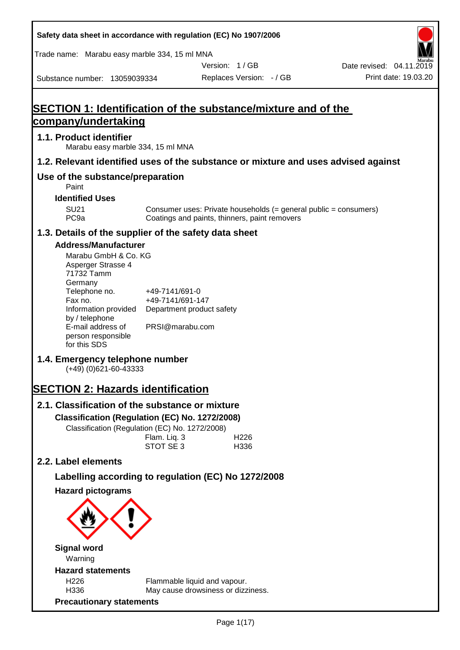| Safety data sheet in accordance with regulation (EC) No 1907/2006                           |                                                                 |                                               |                                                                  |                          |
|---------------------------------------------------------------------------------------------|-----------------------------------------------------------------|-----------------------------------------------|------------------------------------------------------------------|--------------------------|
| Trade name: Marabu easy marble 334, 15 ml MNA                                               |                                                                 |                                               |                                                                  |                          |
|                                                                                             |                                                                 | Version: 1/GB                                 |                                                                  | Date revised: 04.11.2019 |
| Substance number: 13059039334                                                               |                                                                 | Replaces Version: - / GB                      |                                                                  | Print date: 19.03.20     |
|                                                                                             |                                                                 |                                               |                                                                  |                          |
| <b>SECTION 1: Identification of the substance/mixture and of the</b><br>company/undertaking |                                                                 |                                               |                                                                  |                          |
|                                                                                             |                                                                 |                                               |                                                                  |                          |
| 1.1. Product identifier<br>Marabu easy marble 334, 15 ml MNA                                |                                                                 |                                               |                                                                  |                          |
| 1.2. Relevant identified uses of the substance or mixture and uses advised against          |                                                                 |                                               |                                                                  |                          |
| Use of the substance/preparation<br>Paint                                                   |                                                                 |                                               |                                                                  |                          |
| <b>Identified Uses</b>                                                                      |                                                                 |                                               |                                                                  |                          |
| <b>SU21</b><br>PC <sub>9a</sub>                                                             |                                                                 | Coatings and paints, thinners, paint removers | Consumer uses: Private households (= general public = consumers) |                          |
| 1.3. Details of the supplier of the safety data sheet                                       |                                                                 |                                               |                                                                  |                          |
| <b>Address/Manufacturer</b>                                                                 |                                                                 |                                               |                                                                  |                          |
| Marabu GmbH & Co. KG<br>Asperger Strasse 4<br>71732 Tamm<br>Germany                         |                                                                 |                                               |                                                                  |                          |
| Telephone no.<br>Fax no.<br>Information provided<br>by / telephone                          | +49-7141/691-0<br>+49-7141/691-147<br>Department product safety |                                               |                                                                  |                          |
| E-mail address of<br>person responsible<br>for this SDS                                     | PRSI@marabu.com                                                 |                                               |                                                                  |                          |
| 1.4. Emergency telephone number<br>$(+49)$ (0)621-60-43333                                  |                                                                 |                                               |                                                                  |                          |
| <b>SECTION 2: Hazards identification</b>                                                    |                                                                 |                                               |                                                                  |                          |
| 2.1. Classification of the substance or mixture                                             |                                                                 |                                               |                                                                  |                          |
| Classification (Regulation (EC) No. 1272/2008)                                              |                                                                 |                                               |                                                                  |                          |
| Classification (Regulation (EC) No. 1272/2008)                                              |                                                                 |                                               |                                                                  |                          |
|                                                                                             | Flam. Liq. 3<br>STOT SE 3                                       | H226<br>H336                                  |                                                                  |                          |
| 2.2. Label elements                                                                         |                                                                 |                                               |                                                                  |                          |
| Labelling according to regulation (EC) No 1272/2008                                         |                                                                 |                                               |                                                                  |                          |
| <b>Hazard pictograms</b>                                                                    |                                                                 |                                               |                                                                  |                          |
|                                                                                             |                                                                 |                                               |                                                                  |                          |
| <b>Signal word</b>                                                                          |                                                                 |                                               |                                                                  |                          |
| Warning                                                                                     |                                                                 |                                               |                                                                  |                          |
| <b>Hazard statements</b><br>H <sub>226</sub>                                                |                                                                 | Flammable liquid and vapour.                  |                                                                  |                          |
| H336                                                                                        |                                                                 | May cause drowsiness or dizziness.            |                                                                  |                          |
| <b>Precautionary statements</b>                                                             |                                                                 |                                               |                                                                  |                          |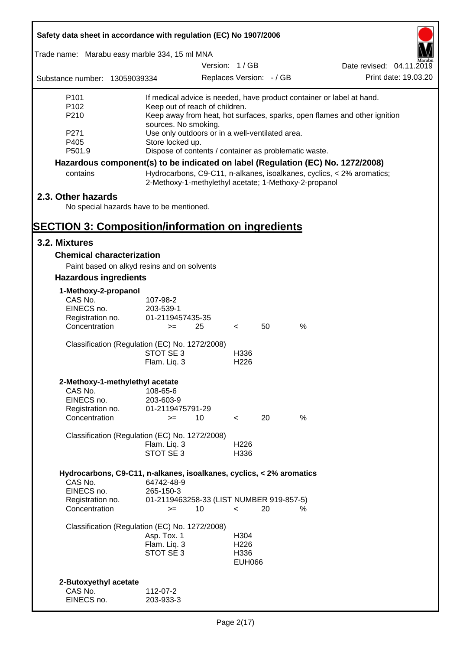| Safety data sheet in accordance with regulation (EC) No 1907/2006               |                          |                                                       |                          |    |      |                                                                           |
|---------------------------------------------------------------------------------|--------------------------|-------------------------------------------------------|--------------------------|----|------|---------------------------------------------------------------------------|
| Trade name: Marabu easy marble 334, 15 ml MNA                                   |                          |                                                       |                          |    |      |                                                                           |
|                                                                                 |                          |                                                       | Version: 1/GB            |    |      | Date revised: 04.11.2019                                                  |
| Substance number: 13059039334                                                   |                          |                                                       | Replaces Version: - / GB |    |      | Print date: 19.03.20                                                      |
| P <sub>101</sub>                                                                |                          |                                                       |                          |    |      | If medical advice is needed, have product container or label at hand.     |
| P <sub>102</sub>                                                                |                          | Keep out of reach of children.                        |                          |    |      |                                                                           |
| P210                                                                            | sources. No smoking.     |                                                       |                          |    |      | Keep away from heat, hot surfaces, sparks, open flames and other ignition |
| P271                                                                            |                          | Use only outdoors or in a well-ventilated area.       |                          |    |      |                                                                           |
| P405                                                                            | Store locked up.         |                                                       |                          |    |      |                                                                           |
| P501.9                                                                          |                          | Dispose of contents / container as problematic waste. |                          |    |      |                                                                           |
| Hazardous component(s) to be indicated on label (Regulation (EC) No. 1272/2008) |                          |                                                       |                          |    |      |                                                                           |
| contains                                                                        |                          | 2-Methoxy-1-methylethyl acetate; 1-Methoxy-2-propanol |                          |    |      | Hydrocarbons, C9-C11, n-alkanes, isoalkanes, cyclics, < 2% aromatics;     |
| 2.3. Other hazards                                                              |                          |                                                       |                          |    |      |                                                                           |
| No special hazards have to be mentioned.                                        |                          |                                                       |                          |    |      |                                                                           |
| <b>SECTION 3: Composition/information on ingredients</b>                        |                          |                                                       |                          |    |      |                                                                           |
| 3.2. Mixtures                                                                   |                          |                                                       |                          |    |      |                                                                           |
| <b>Chemical characterization</b>                                                |                          |                                                       |                          |    |      |                                                                           |
| Paint based on alkyd resins and on solvents                                     |                          |                                                       |                          |    |      |                                                                           |
| <b>Hazardous ingredients</b>                                                    |                          |                                                       |                          |    |      |                                                                           |
| 1-Methoxy-2-propanol                                                            |                          |                                                       |                          |    |      |                                                                           |
| CAS No.                                                                         | 107-98-2                 |                                                       |                          |    |      |                                                                           |
| EINECS no.                                                                      | 203-539-1                |                                                       |                          |    |      |                                                                           |
| Registration no.<br>Concentration                                               | 01-2119457435-35<br>$>=$ | 25                                                    | $\lt$                    | 50 | $\%$ |                                                                           |
| Classification (Regulation (EC) No. 1272/2008)                                  |                          |                                                       |                          |    |      |                                                                           |
|                                                                                 | STOT SE 3                |                                                       | H336                     |    |      |                                                                           |
|                                                                                 | Flam. Liq. 3             |                                                       | H <sub>226</sub>         |    |      |                                                                           |
| 2-Methoxy-1-methylethyl acetate                                                 |                          |                                                       |                          |    |      |                                                                           |
| CAS No.                                                                         | 108-65-6                 |                                                       |                          |    |      |                                                                           |
| EINECS no.                                                                      | 203-603-9                |                                                       |                          |    |      |                                                                           |
| Registration no.<br>Concentration                                               | 01-2119475791-29         |                                                       |                          |    |      |                                                                           |
|                                                                                 | $>=$                     | 10                                                    | $\prec$                  | 20 | %    |                                                                           |
| Classification (Regulation (EC) No. 1272/2008)                                  |                          |                                                       |                          |    |      |                                                                           |
|                                                                                 | Flam. Liq. 3             |                                                       | H <sub>226</sub>         |    |      |                                                                           |
|                                                                                 | STOT SE 3                |                                                       | H336                     |    |      |                                                                           |
| Hydrocarbons, C9-C11, n-alkanes, isoalkanes, cyclics, < 2% aromatics            |                          |                                                       |                          |    |      |                                                                           |
| CAS No.                                                                         | 64742-48-9               |                                                       |                          |    |      |                                                                           |
| EINECS no.                                                                      | 265-150-3                |                                                       |                          |    |      |                                                                           |
| Registration no.<br>Concentration                                               | $>=$                     | 01-2119463258-33 (LIST NUMBER 919-857-5)<br>10        | $\prec$                  | 20 | %    |                                                                           |
| Classification (Regulation (EC) No. 1272/2008)                                  |                          |                                                       |                          |    |      |                                                                           |
|                                                                                 | Asp. Tox. 1              |                                                       | H304                     |    |      |                                                                           |
|                                                                                 | Flam. Liq. 3             |                                                       | H <sub>226</sub>         |    |      |                                                                           |
|                                                                                 | STOT SE 3                |                                                       | H336<br><b>EUH066</b>    |    |      |                                                                           |
|                                                                                 |                          |                                                       |                          |    |      |                                                                           |
| 2-Butoxyethyl acetate                                                           |                          |                                                       |                          |    |      |                                                                           |
| CAS No.                                                                         | 112-07-2                 |                                                       |                          |    |      |                                                                           |
| EINECS no.                                                                      | 203-933-3                |                                                       |                          |    |      |                                                                           |

7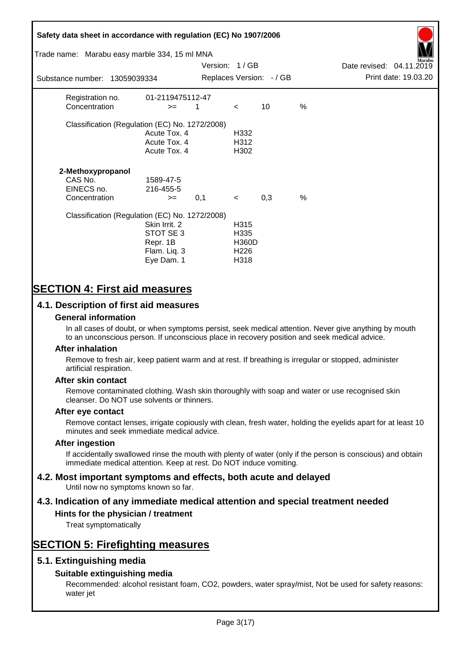# **Safety data sheet in accordance with regulation (EC) No 1907/2006** Substance number: 13059039334 Version: 1 / GB Replaces Version:  $-$  / GB Print date: 19.03.20 Date revised: 04.11.2019 Trade name: Marabu easy marble 334, 15 ml MNA Registration no. 01-2119475112-47  $\text{Concentration}$   $\geq$  1 < 10 % Classification (Regulation (EC) No. 1272/2008) Acute Tox. 4 H332 Acute Tox. 4 H312 Acute Tox. 4 H302 **2-Methoxypropanol** CAS No. 1589-47-5 EINECS no. 216-455-5  $\text{Concentration}$   $\rightarrow$  0.1 < 0.3 % Classification (Regulation (EC) No. 1272/2008) Skin Irrit. 2 H315 STOT SE 3 H335 Repr. 1B H360D Flam. Liq. 3 H226 Eye Dam. 1 H318

# **SECTION 4: First aid measures**

# **4.1. Description of first aid measures**

### **General information**

In all cases of doubt, or when symptoms persist, seek medical attention. Never give anything by mouth to an unconscious person. If unconscious place in recovery position and seek medical advice.

#### **After inhalation**

Remove to fresh air, keep patient warm and at rest. If breathing is irregular or stopped, administer artificial respiration.

#### **After skin contact**

Remove contaminated clothing. Wash skin thoroughly with soap and water or use recognised skin cleanser. Do NOT use solvents or thinners.

#### **After eye contact**

Remove contact lenses, irrigate copiously with clean, fresh water, holding the eyelids apart for at least 10 minutes and seek immediate medical advice.

#### **After ingestion**

If accidentally swallowed rinse the mouth with plenty of water (only if the person is conscious) and obtain immediate medical attention. Keep at rest. Do NOT induce vomiting.

# **4.2. Most important symptoms and effects, both acute and delayed**

Until now no symptoms known so far.

# **4.3. Indication of any immediate medical attention and special treatment needed**

## **Hints for the physician / treatment**

Treat symptomatically

# **SECTION 5: Firefighting measures**

## **5.1. Extinguishing media**

## **Suitable extinguishing media**

Recommended: alcohol resistant foam, CO2, powders, water spray/mist, Not be used for safety reasons: water jet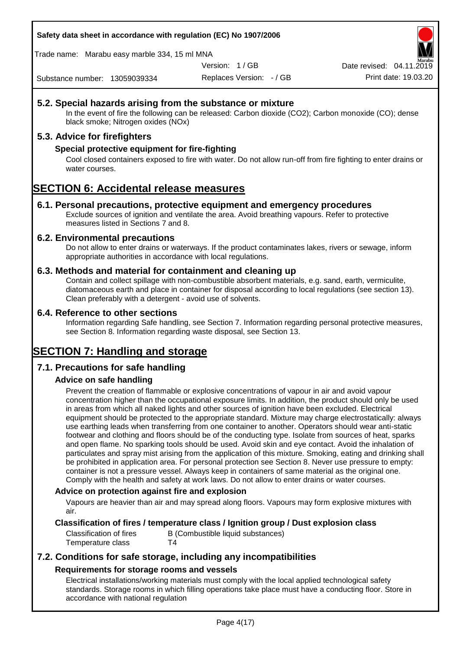**Safety data sheet in accordance with regulation (EC) No 1907/2006**

Trade name: Marabu easy marble 334, 15 ml MNA

Version: 1 / GB

Replaces Version: - / GB Print date: 19.03.20 Date revised: 04.11.2

Substance number: 13059039334

## **5.2. Special hazards arising from the substance or mixture**

In the event of fire the following can be released: Carbon dioxide (CO2); Carbon monoxide (CO); dense black smoke; Nitrogen oxides (NOx)

## **5.3. Advice for firefighters**

## **Special protective equipment for fire-fighting**

Cool closed containers exposed to fire with water. Do not allow run-off from fire fighting to enter drains or water courses.

# **SECTION 6: Accidental release measures**

#### **6.1. Personal precautions, protective equipment and emergency procedures**

Exclude sources of ignition and ventilate the area. Avoid breathing vapours. Refer to protective measures listed in Sections 7 and 8.

#### **6.2. Environmental precautions**

Do not allow to enter drains or waterways. If the product contaminates lakes, rivers or sewage, inform appropriate authorities in accordance with local regulations.

#### **6.3. Methods and material for containment and cleaning up**

Contain and collect spillage with non-combustible absorbent materials, e.g. sand, earth, vermiculite, diatomaceous earth and place in container for disposal according to local regulations (see section 13). Clean preferably with a detergent - avoid use of solvents.

#### **6.4. Reference to other sections**

Information regarding Safe handling, see Section 7. Information regarding personal protective measures, see Section 8. Information regarding waste disposal, see Section 13.

# **SECTION 7: Handling and storage**

## **7.1. Precautions for safe handling**

## **Advice on safe handling**

Prevent the creation of flammable or explosive concentrations of vapour in air and avoid vapour concentration higher than the occupational exposure limits. In addition, the product should only be used in areas from which all naked lights and other sources of ignition have been excluded. Electrical equipment should be protected to the appropriate standard. Mixture may charge electrostatically: always use earthing leads when transferring from one container to another. Operators should wear anti-static footwear and clothing and floors should be of the conducting type. Isolate from sources of heat, sparks and open flame. No sparking tools should be used. Avoid skin and eye contact. Avoid the inhalation of particulates and spray mist arising from the application of this mixture. Smoking, eating and drinking shall be prohibited in application area. For personal protection see Section 8. Never use pressure to empty: container is not a pressure vessel. Always keep in containers of same material as the original one. Comply with the health and safety at work laws. Do not allow to enter drains or water courses.

#### **Advice on protection against fire and explosion**

Vapours are heavier than air and may spread along floors. Vapours may form explosive mixtures with air.

#### **Classification of fires / temperature class / Ignition group / Dust explosion class**

Classification of fires B (Combustible liquid substances) Temperature class T4

# **7.2. Conditions for safe storage, including any incompatibilities Requirements for storage rooms and vessels**

Electrical installations/working materials must comply with the local applied technological safety standards. Storage rooms in which filling operations take place must have a conducting floor. Store in accordance with national regulation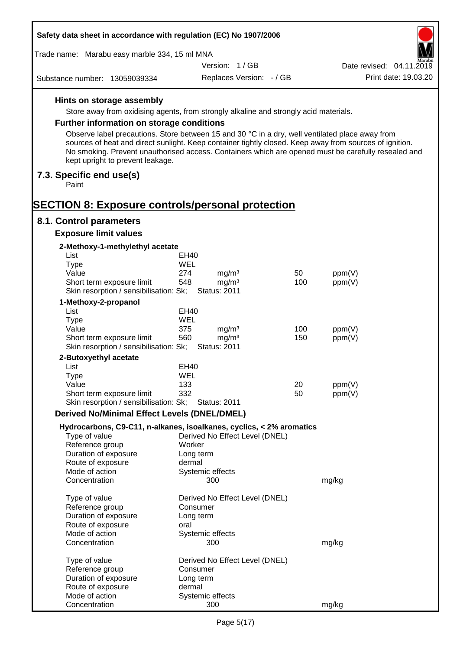| Safety data sheet in accordance with regulation (EC) No 1907/2006                                                                                                                                                                                  |                     |                                        |            |                  |                          |
|----------------------------------------------------------------------------------------------------------------------------------------------------------------------------------------------------------------------------------------------------|---------------------|----------------------------------------|------------|------------------|--------------------------|
| Trade name: Marabu easy marble 334, 15 ml MNA                                                                                                                                                                                                      |                     |                                        |            |                  |                          |
|                                                                                                                                                                                                                                                    |                     | Version: 1/GB                          |            |                  | Date revised: 04.11.2019 |
| Substance number: 13059039334                                                                                                                                                                                                                      |                     | Replaces Version: - / GB               |            |                  | Print date: 19.03.20     |
| Hints on storage assembly                                                                                                                                                                                                                          |                     |                                        |            |                  |                          |
| Store away from oxidising agents, from strongly alkaline and strongly acid materials.                                                                                                                                                              |                     |                                        |            |                  |                          |
| Further information on storage conditions                                                                                                                                                                                                          |                     |                                        |            |                  |                          |
| Observe label precautions. Store between 15 and 30 °C in a dry, well ventilated place away from                                                                                                                                                    |                     |                                        |            |                  |                          |
| sources of heat and direct sunlight. Keep container tightly closed. Keep away from sources of ignition.<br>No smoking. Prevent unauthorised access. Containers which are opened must be carefully resealed and<br>kept upright to prevent leakage. |                     |                                        |            |                  |                          |
| 7.3. Specific end use(s)<br>Paint                                                                                                                                                                                                                  |                     |                                        |            |                  |                          |
| <b>SECTION 8: Exposure controls/personal protection</b>                                                                                                                                                                                            |                     |                                        |            |                  |                          |
| 8.1. Control parameters                                                                                                                                                                                                                            |                     |                                        |            |                  |                          |
| <b>Exposure limit values</b>                                                                                                                                                                                                                       |                     |                                        |            |                  |                          |
| 2-Methoxy-1-methylethyl acetate<br>List                                                                                                                                                                                                            | EH40                |                                        |            |                  |                          |
| <b>Type</b>                                                                                                                                                                                                                                        | <b>WEL</b>          |                                        |            |                  |                          |
| Value                                                                                                                                                                                                                                              | 274                 | mg/m <sup>3</sup>                      | 50         | ppm(V)           |                          |
| Short term exposure limit                                                                                                                                                                                                                          | 548                 | mg/m <sup>3</sup>                      | 100        | ppm(V)           |                          |
| Skin resorption / sensibilisation: Sk;                                                                                                                                                                                                             |                     | <b>Status: 2011</b>                    |            |                  |                          |
| 1-Methoxy-2-propanol                                                                                                                                                                                                                               |                     |                                        |            |                  |                          |
| List                                                                                                                                                                                                                                               | EH40                |                                        |            |                  |                          |
| <b>Type</b>                                                                                                                                                                                                                                        | WEL                 |                                        |            |                  |                          |
| Value<br>Short term exposure limit                                                                                                                                                                                                                 | 375<br>560          | mg/m <sup>3</sup><br>mg/m <sup>3</sup> | 100<br>150 | ppm(V)<br>ppm(V) |                          |
| Skin resorption / sensibilisation: Sk;                                                                                                                                                                                                             |                     | <b>Status: 2011</b>                    |            |                  |                          |
| 2-Butoxyethyl acetate                                                                                                                                                                                                                              |                     |                                        |            |                  |                          |
| List                                                                                                                                                                                                                                               | EH40                |                                        |            |                  |                          |
| Type                                                                                                                                                                                                                                               | WEL                 |                                        |            |                  |                          |
| Value                                                                                                                                                                                                                                              | 133                 |                                        | 20         | ppm(V)           |                          |
| Short term exposure limit                                                                                                                                                                                                                          | 332                 |                                        | 50         | ppm(V)           |                          |
| Skin resorption / sensibilisation: Sk;                                                                                                                                                                                                             |                     | <b>Status: 2011</b>                    |            |                  |                          |
| <b>Derived No/Minimal Effect Levels (DNEL/DMEL)</b>                                                                                                                                                                                                |                     |                                        |            |                  |                          |
| Hydrocarbons, C9-C11, n-alkanes, isoalkanes, cyclics, < 2% aromatics                                                                                                                                                                               |                     |                                        |            |                  |                          |
| Type of value                                                                                                                                                                                                                                      |                     | Derived No Effect Level (DNEL)         |            |                  |                          |
| Reference group<br>Duration of exposure                                                                                                                                                                                                            | Worker<br>Long term |                                        |            |                  |                          |
| Route of exposure                                                                                                                                                                                                                                  | dermal              |                                        |            |                  |                          |
| Mode of action                                                                                                                                                                                                                                     |                     | Systemic effects                       |            |                  |                          |
| Concentration                                                                                                                                                                                                                                      |                     | 300                                    |            | mg/kg            |                          |
| Type of value                                                                                                                                                                                                                                      |                     | Derived No Effect Level (DNEL)         |            |                  |                          |
| Reference group                                                                                                                                                                                                                                    | Consumer            |                                        |            |                  |                          |
| Duration of exposure                                                                                                                                                                                                                               | Long term           |                                        |            |                  |                          |
| Route of exposure                                                                                                                                                                                                                                  | oral                |                                        |            |                  |                          |
| Mode of action<br>Concentration                                                                                                                                                                                                                    |                     | Systemic effects<br>300                |            | mg/kg            |                          |
| Type of value                                                                                                                                                                                                                                      |                     | Derived No Effect Level (DNEL)         |            |                  |                          |
| Reference group                                                                                                                                                                                                                                    | Consumer            |                                        |            |                  |                          |
| Duration of exposure                                                                                                                                                                                                                               | Long term           |                                        |            |                  |                          |
| Route of exposure                                                                                                                                                                                                                                  | dermal              |                                        |            |                  |                          |
| Mode of action                                                                                                                                                                                                                                     |                     | Systemic effects                       |            |                  |                          |
| Concentration                                                                                                                                                                                                                                      |                     | 300                                    |            | mg/kg            |                          |

Г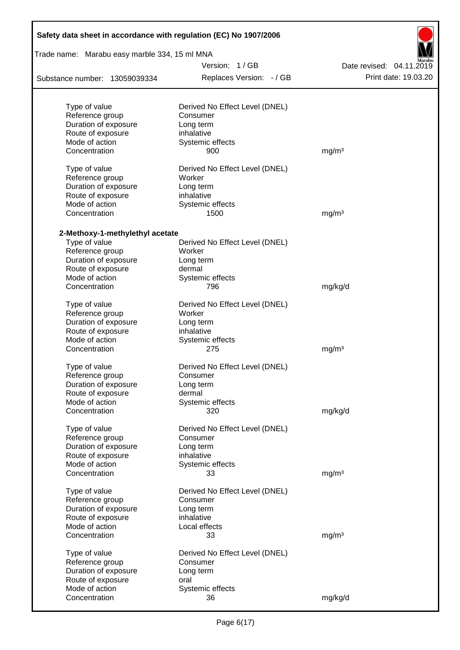| Trade name: Marabu easy marble 334, 15 ml MNA |                                |                          |
|-----------------------------------------------|--------------------------------|--------------------------|
|                                               | Version: 1/GB                  | Date revised: 04.11.2019 |
| Substance number: 13059039334                 | Replaces Version: - / GB       | Print date: 19.03.20     |
|                                               |                                |                          |
| Type of value                                 | Derived No Effect Level (DNEL) |                          |
| Reference group                               | Consumer                       |                          |
| Duration of exposure                          | Long term<br>inhalative        |                          |
| Route of exposure<br>Mode of action           | Systemic effects               |                          |
| Concentration                                 | 900                            | mg/m <sup>3</sup>        |
| Type of value                                 | Derived No Effect Level (DNEL) |                          |
| Reference group                               | Worker                         |                          |
| Duration of exposure                          | Long term                      |                          |
| Route of exposure                             | inhalative                     |                          |
| Mode of action                                | Systemic effects               |                          |
| Concentration                                 | 1500                           | mg/m <sup>3</sup>        |
| 2-Methoxy-1-methylethyl acetate               |                                |                          |
| Type of value                                 | Derived No Effect Level (DNEL) |                          |
| Reference group                               | Worker                         |                          |
| Duration of exposure                          | Long term                      |                          |
| Route of exposure                             | dermal                         |                          |
| Mode of action                                | Systemic effects               |                          |
| Concentration                                 | 796                            | mg/kg/d                  |
| Type of value                                 | Derived No Effect Level (DNEL) |                          |
| Reference group                               | Worker                         |                          |
| Duration of exposure                          | Long term                      |                          |
| Route of exposure                             | inhalative                     |                          |
| Mode of action                                | Systemic effects               |                          |
| Concentration                                 | 275                            | mg/m <sup>3</sup>        |
| Type of value                                 | Derived No Effect Level (DNEL) |                          |
| Reference group                               | Consumer                       |                          |
| Duration of exposure                          | Long term                      |                          |
| Route of exposure                             | dermal                         |                          |
| Mode of action                                | Systemic effects               |                          |
| Concentration                                 | 320                            | mg/kg/d                  |
| Type of value                                 | Derived No Effect Level (DNEL) |                          |
| Reference group                               | Consumer                       |                          |
| Duration of exposure                          | Long term                      |                          |
| Route of exposure                             | inhalative                     |                          |
| Mode of action                                | Systemic effects               |                          |
| Concentration                                 | 33                             | mg/m <sup>3</sup>        |
| Type of value                                 | Derived No Effect Level (DNEL) |                          |
| Reference group                               | Consumer                       |                          |
| Duration of exposure                          | Long term                      |                          |
| Route of exposure                             | inhalative                     |                          |
| Mode of action                                | Local effects                  |                          |
| Concentration                                 | 33                             | mg/m <sup>3</sup>        |
| Type of value                                 | Derived No Effect Level (DNEL) |                          |
| Reference group                               | Consumer                       |                          |
| Duration of exposure                          | Long term                      |                          |
| Route of exposure                             | oral                           |                          |
| Mode of action                                | Systemic effects               |                          |
| Concentration                                 | 36                             | mg/kg/d                  |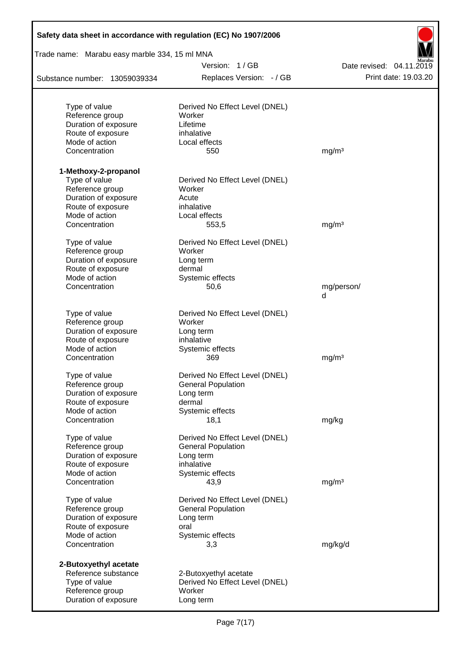| Safety data sheet in accordance with regulation (EC) No 1907/2006 |                                |                          |
|-------------------------------------------------------------------|--------------------------------|--------------------------|
| Trade name: Marabu easy marble 334, 15 ml MNA                     |                                |                          |
|                                                                   | Version: 1/GB                  | Date revised: 04.11.2019 |
| Substance number: 13059039334                                     | Replaces Version: - / GB       | Print date: 19.03.20     |
| Type of value                                                     | Derived No Effect Level (DNEL) |                          |
| Reference group                                                   | Worker                         |                          |
| Duration of exposure                                              | Lifetime                       |                          |
| Route of exposure                                                 | inhalative                     |                          |
| Mode of action                                                    | Local effects                  |                          |
| Concentration                                                     | 550                            | mg/m <sup>3</sup>        |
| 1-Methoxy-2-propanol                                              |                                |                          |
| Type of value                                                     | Derived No Effect Level (DNEL) |                          |
| Reference group                                                   | Worker                         |                          |
| Duration of exposure                                              | Acute                          |                          |
| Route of exposure                                                 | inhalative                     |                          |
| Mode of action                                                    | Local effects                  |                          |
| Concentration                                                     | 553,5                          | mg/m <sup>3</sup>        |
| Type of value                                                     | Derived No Effect Level (DNEL) |                          |
| Reference group<br>Duration of exposure                           | Worker                         |                          |
| Route of exposure                                                 | Long term<br>dermal            |                          |
| Mode of action                                                    | Systemic effects               |                          |
| Concentration                                                     | 50,6                           | mg/person/               |
|                                                                   |                                | d                        |
| Type of value                                                     | Derived No Effect Level (DNEL) |                          |
| Reference group                                                   | Worker                         |                          |
| Duration of exposure                                              | Long term                      |                          |
| Route of exposure                                                 | inhalative                     |                          |
| Mode of action                                                    | Systemic effects               |                          |
| Concentration                                                     | 369                            | mg/m <sup>3</sup>        |
| Type of value                                                     | Derived No Effect Level (DNEL) |                          |
| Reference group                                                   | <b>General Population</b>      |                          |
| Duration of exposure                                              | Long term                      |                          |
| Route of exposure                                                 | dermal                         |                          |
| Mode of action                                                    | Systemic effects               |                          |
| Concentration                                                     | 18,1                           | mg/kg                    |
| Type of value                                                     | Derived No Effect Level (DNEL) |                          |
| Reference group                                                   | <b>General Population</b>      |                          |
| Duration of exposure                                              | Long term                      |                          |
| Route of exposure                                                 | inhalative                     |                          |
| Mode of action<br>Concentration                                   | Systemic effects<br>43,9       | mg/m <sup>3</sup>        |
| Type of value                                                     | Derived No Effect Level (DNEL) |                          |
| Reference group                                                   | <b>General Population</b>      |                          |
| Duration of exposure                                              | Long term                      |                          |
| Route of exposure                                                 | oral                           |                          |
| Mode of action                                                    | Systemic effects               |                          |
| Concentration                                                     | 3,3                            | mg/kg/d                  |
| 2-Butoxyethyl acetate                                             |                                |                          |
| Reference substance                                               | 2-Butoxyethyl acetate          |                          |
| Type of value                                                     | Derived No Effect Level (DNEL) |                          |
| Reference group                                                   | Worker                         |                          |
| Duration of exposure                                              | Long term                      |                          |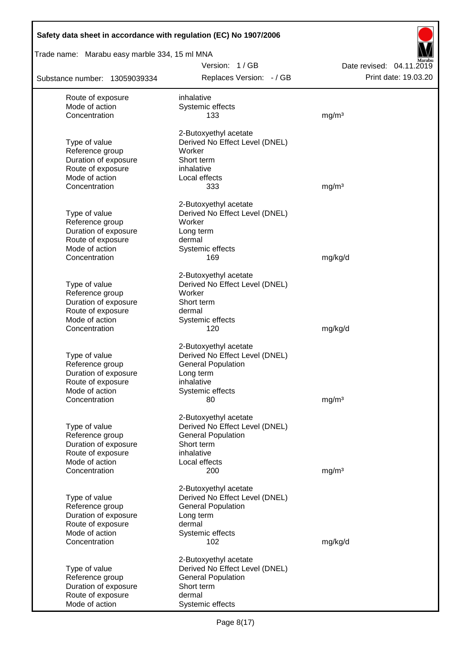| Safety data sheet in accordance with regulation (EC) No 1907/2006 |                                                         |                                                  |
|-------------------------------------------------------------------|---------------------------------------------------------|--------------------------------------------------|
| Trade name: Marabu easy marble 334, 15 ml MNA                     |                                                         |                                                  |
| Substance number: 13059039334                                     | Version: 1/GB<br>Replaces Version: - / GB               | Date revised: 04.11.2019<br>Print date: 19.03.20 |
| Route of exposure                                                 | inhalative                                              |                                                  |
| Mode of action                                                    | Systemic effects                                        |                                                  |
| Concentration                                                     | 133                                                     | mg/m <sup>3</sup>                                |
|                                                                   | 2-Butoxyethyl acetate                                   |                                                  |
| Type of value                                                     | Derived No Effect Level (DNEL)                          |                                                  |
| Reference group                                                   | Worker                                                  |                                                  |
| Duration of exposure                                              | Short term                                              |                                                  |
| Route of exposure<br>Mode of action                               | inhalative                                              |                                                  |
| Concentration                                                     | Local effects<br>333                                    | mg/m <sup>3</sup>                                |
|                                                                   |                                                         |                                                  |
|                                                                   | 2-Butoxyethyl acetate                                   |                                                  |
| Type of value                                                     | Derived No Effect Level (DNEL)                          |                                                  |
| Reference group<br>Duration of exposure                           | Worker<br>Long term                                     |                                                  |
| Route of exposure                                                 | dermal                                                  |                                                  |
| Mode of action                                                    | Systemic effects                                        |                                                  |
| Concentration                                                     | 169                                                     | mg/kg/d                                          |
|                                                                   | 2-Butoxyethyl acetate                                   |                                                  |
| Type of value                                                     | Derived No Effect Level (DNEL)                          |                                                  |
| Reference group                                                   | Worker                                                  |                                                  |
| Duration of exposure                                              | Short term                                              |                                                  |
| Route of exposure                                                 | dermal                                                  |                                                  |
| Mode of action                                                    | Systemic effects                                        |                                                  |
| Concentration                                                     | 120                                                     | mg/kg/d                                          |
|                                                                   | 2-Butoxyethyl acetate                                   |                                                  |
| Type of value                                                     | Derived No Effect Level (DNEL)                          |                                                  |
| Reference group                                                   | <b>General Population</b>                               |                                                  |
| Duration of exposure<br>Route of exposure                         | Long term<br>inhalative                                 |                                                  |
| Mode of action                                                    | Systemic effects                                        |                                                  |
| Concentration                                                     | 80                                                      | mg/m <sup>3</sup>                                |
|                                                                   |                                                         |                                                  |
| Type of value                                                     | 2-Butoxyethyl acetate<br>Derived No Effect Level (DNEL) |                                                  |
| Reference group                                                   | <b>General Population</b>                               |                                                  |
| Duration of exposure                                              | Short term                                              |                                                  |
| Route of exposure                                                 | inhalative                                              |                                                  |
| Mode of action                                                    | Local effects                                           |                                                  |
| Concentration                                                     | 200                                                     | mg/m <sup>3</sup>                                |
|                                                                   | 2-Butoxyethyl acetate                                   |                                                  |
| Type of value                                                     | Derived No Effect Level (DNEL)                          |                                                  |
| Reference group                                                   | <b>General Population</b>                               |                                                  |
| Duration of exposure<br>Route of exposure                         | Long term<br>dermal                                     |                                                  |
| Mode of action                                                    | Systemic effects                                        |                                                  |
| Concentration                                                     | 102                                                     | mg/kg/d                                          |
|                                                                   |                                                         |                                                  |
| Type of value                                                     | 2-Butoxyethyl acetate<br>Derived No Effect Level (DNEL) |                                                  |
| Reference group                                                   | <b>General Population</b>                               |                                                  |
| Duration of exposure                                              | Short term                                              |                                                  |
| Route of exposure                                                 | dermal                                                  |                                                  |
| Mode of action                                                    | Systemic effects                                        |                                                  |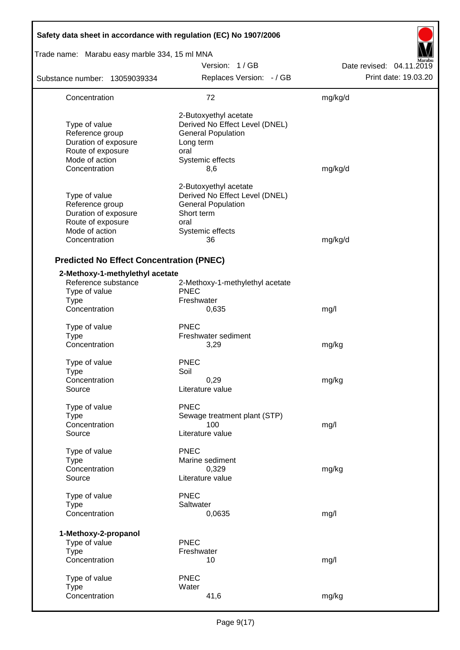| Safety data sheet in accordance with regulation (EC) No 1907/2006                                                |                                                                                                                                      |                          |
|------------------------------------------------------------------------------------------------------------------|--------------------------------------------------------------------------------------------------------------------------------------|--------------------------|
| Trade name: Marabu easy marble 334, 15 ml MNA                                                                    |                                                                                                                                      |                          |
|                                                                                                                  | Version: 1/GB                                                                                                                        | Date revised: 04.11.2019 |
| Substance number: 13059039334                                                                                    | Replaces Version: - / GB                                                                                                             | Print date: 19.03.20     |
| Concentration                                                                                                    | 72                                                                                                                                   | mg/kg/d                  |
| Type of value<br>Reference group<br>Duration of exposure<br>Route of exposure<br>Mode of action<br>Concentration | 2-Butoxyethyl acetate<br>Derived No Effect Level (DNEL)<br><b>General Population</b><br>Long term<br>oral<br>Systemic effects<br>8,6 | mg/kg/d                  |
| Type of value<br>Reference group<br>Duration of exposure<br>Route of exposure<br>Mode of action<br>Concentration | 2-Butoxyethyl acetate<br>Derived No Effect Level (DNEL)<br><b>General Population</b><br>Short term<br>oral<br>Systemic effects<br>36 | mg/kg/d                  |
| <b>Predicted No Effect Concentration (PNEC)</b>                                                                  |                                                                                                                                      |                          |
| 2-Methoxy-1-methylethyl acetate<br>Reference substance<br>Type of value<br><b>Type</b><br>Concentration          | 2-Methoxy-1-methylethyl acetate<br><b>PNEC</b><br>Freshwater<br>0,635                                                                | mg/l                     |
| Type of value<br>Type<br>Concentration                                                                           | <b>PNEC</b><br>Freshwater sediment<br>3,29                                                                                           | mg/kg                    |
| Type of value<br><b>Type</b><br>Concentration<br>Source                                                          | <b>PNEC</b><br>Soil<br>0,29<br>Literature value                                                                                      | mg/kg                    |
| Type of value<br><b>Type</b><br>Concentration<br>Source                                                          | <b>PNEC</b><br>Sewage treatment plant (STP)<br>100<br>Literature value                                                               | mg/l                     |
| Type of value<br><b>Type</b><br>Concentration<br>Source                                                          | <b>PNEC</b><br>Marine sediment<br>0,329<br>Literature value                                                                          | mg/kg                    |
| Type of value<br><b>Type</b><br>Concentration                                                                    | <b>PNEC</b><br>Saltwater<br>0,0635                                                                                                   | mg/l                     |
| 1-Methoxy-2-propanol<br>Type of value<br><b>Type</b><br>Concentration                                            | <b>PNEC</b><br>Freshwater<br>10                                                                                                      | mg/l                     |
| Type of value<br><b>Type</b><br>Concentration                                                                    | <b>PNEC</b><br>Water<br>41,6                                                                                                         | mg/kg                    |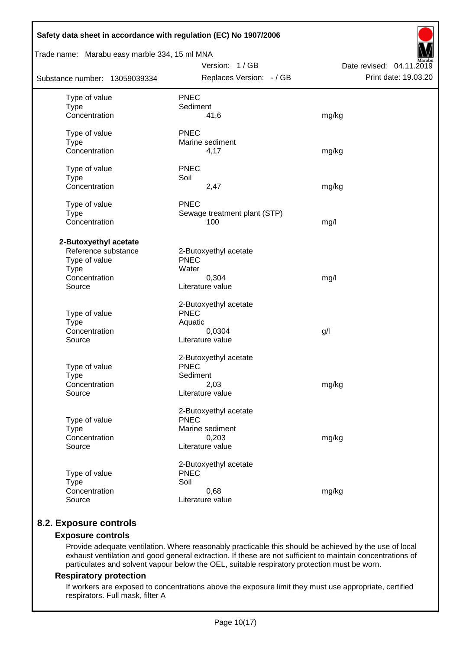| Safety data sheet in accordance with regulation (EC) No 1907/2006                                       |                                                                                      |                                                  |
|---------------------------------------------------------------------------------------------------------|--------------------------------------------------------------------------------------|--------------------------------------------------|
| Trade name: Marabu easy marble 334, 15 ml MNA                                                           |                                                                                      |                                                  |
| Substance number: 13059039334                                                                           | Version: 1/GB<br>Replaces Version: - / GB                                            | Date revised: 04.11.2019<br>Print date: 19.03.20 |
| Type of value<br><b>Type</b><br>Concentration                                                           | <b>PNEC</b><br>Sediment<br>41,6                                                      | mg/kg                                            |
| Type of value<br><b>Type</b><br>Concentration                                                           | <b>PNEC</b><br>Marine sediment<br>4,17                                               | mg/kg                                            |
| Type of value<br><b>Type</b><br>Concentration                                                           | <b>PNEC</b><br>Soil<br>2,47                                                          | mg/kg                                            |
| Type of value<br><b>Type</b><br>Concentration                                                           | <b>PNEC</b><br>Sewage treatment plant (STP)<br>100                                   | mg/l                                             |
| 2-Butoxyethyl acetate<br>Reference substance<br>Type of value<br><b>Type</b><br>Concentration<br>Source | 2-Butoxyethyl acetate<br><b>PNEC</b><br>Water<br>0,304<br>Literature value           | mg/l                                             |
| Type of value<br><b>Type</b><br>Concentration<br>Source                                                 | 2-Butoxyethyl acetate<br><b>PNEC</b><br>Aquatic<br>0,0304<br>Literature value        | g/l                                              |
| Type of value<br><b>Type</b><br>Concentration<br>Source                                                 | 2-Butoxyethyl acetate<br><b>PNEC</b><br>Sediment<br>2,03<br>Literature value         | mg/kg                                            |
| Type of value<br><b>Type</b><br>Concentration<br>Source                                                 | 2-Butoxyethyl acetate<br><b>PNEC</b><br>Marine sediment<br>0,203<br>Literature value | mg/kg                                            |
| Type of value<br><b>Type</b><br>Concentration<br>Source                                                 | 2-Butoxyethyl acetate<br><b>PNEC</b><br>Soil<br>0,68<br>Literature value             | mg/kg                                            |

# **8.2. Exposure controls**

## **Exposure controls**

Provide adequate ventilation. Where reasonably practicable this should be achieved by the use of local exhaust ventilation and good general extraction. If these are not sufficient to maintain concentrations of particulates and solvent vapour below the OEL, suitable respiratory protection must be worn.

#### **Respiratory protection**

If workers are exposed to concentrations above the exposure limit they must use appropriate, certified respirators. Full mask, filter A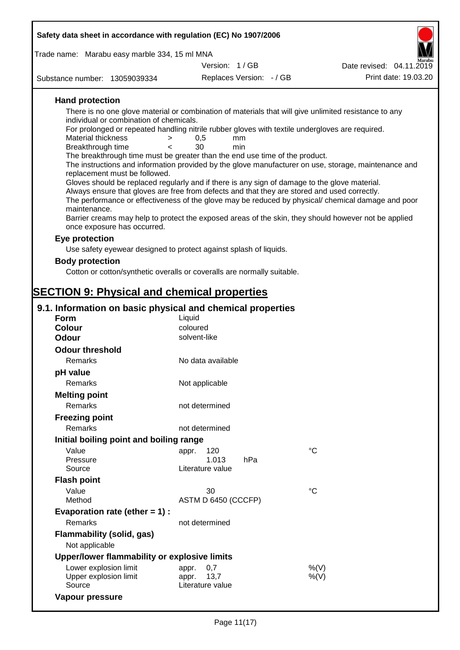| Safety data sheet in accordance with regulation (EC) No 1907/2006                                                                                                                                                                                                                         |                                                  |                                                                                                                                                                                                                                                                                                                                                                                                                                                                                                                                                                                                                                                                                                                                 |
|-------------------------------------------------------------------------------------------------------------------------------------------------------------------------------------------------------------------------------------------------------------------------------------------|--------------------------------------------------|---------------------------------------------------------------------------------------------------------------------------------------------------------------------------------------------------------------------------------------------------------------------------------------------------------------------------------------------------------------------------------------------------------------------------------------------------------------------------------------------------------------------------------------------------------------------------------------------------------------------------------------------------------------------------------------------------------------------------------|
|                                                                                                                                                                                                                                                                                           |                                                  |                                                                                                                                                                                                                                                                                                                                                                                                                                                                                                                                                                                                                                                                                                                                 |
| Trade name: Marabu easy marble 334, 15 ml MNA                                                                                                                                                                                                                                             | Version: 1/GB                                    | Date revised: 04.11.2019                                                                                                                                                                                                                                                                                                                                                                                                                                                                                                                                                                                                                                                                                                        |
|                                                                                                                                                                                                                                                                                           | Replaces Version: - / GB                         | Print date: 19.03.20                                                                                                                                                                                                                                                                                                                                                                                                                                                                                                                                                                                                                                                                                                            |
| Substance number: 13059039334                                                                                                                                                                                                                                                             |                                                  |                                                                                                                                                                                                                                                                                                                                                                                                                                                                                                                                                                                                                                                                                                                                 |
| <b>Hand protection</b><br>individual or combination of chemicals.<br><b>Material thickness</b><br>$\geq$<br>Breakthrough time<br>$\overline{\phantom{0}}$<br>The breakthrough time must be greater than the end use time of the product.<br>replacement must be followed.<br>maintenance. | 0,5<br>mm<br>30<br>min                           | There is no one glove material or combination of materials that will give unlimited resistance to any<br>For prolonged or repeated handling nitrile rubber gloves with textile undergloves are required.<br>The instructions and information provided by the glove manufacturer on use, storage, maintenance and<br>Gloves should be replaced regularly and if there is any sign of damage to the glove material.<br>Always ensure that gloves are free from defects and that they are stored and used correctly.<br>The performance or effectiveness of the glove may be reduced by physical/ chemical damage and poor<br>Barrier creams may help to protect the exposed areas of the skin, they should however not be applied |
| once exposure has occurred.                                                                                                                                                                                                                                                               |                                                  |                                                                                                                                                                                                                                                                                                                                                                                                                                                                                                                                                                                                                                                                                                                                 |
| Eye protection                                                                                                                                                                                                                                                                            |                                                  |                                                                                                                                                                                                                                                                                                                                                                                                                                                                                                                                                                                                                                                                                                                                 |
| Use safety eyewear designed to protect against splash of liquids.                                                                                                                                                                                                                         |                                                  |                                                                                                                                                                                                                                                                                                                                                                                                                                                                                                                                                                                                                                                                                                                                 |
| <b>Body protection</b>                                                                                                                                                                                                                                                                    |                                                  |                                                                                                                                                                                                                                                                                                                                                                                                                                                                                                                                                                                                                                                                                                                                 |
| Cotton or cotton/synthetic overalls or coveralls are normally suitable.                                                                                                                                                                                                                   |                                                  |                                                                                                                                                                                                                                                                                                                                                                                                                                                                                                                                                                                                                                                                                                                                 |
|                                                                                                                                                                                                                                                                                           |                                                  |                                                                                                                                                                                                                                                                                                                                                                                                                                                                                                                                                                                                                                                                                                                                 |
| <b>SECTION 9: Physical and chemical properties</b>                                                                                                                                                                                                                                        |                                                  |                                                                                                                                                                                                                                                                                                                                                                                                                                                                                                                                                                                                                                                                                                                                 |
| 9.1. Information on basic physical and chemical properties                                                                                                                                                                                                                                |                                                  |                                                                                                                                                                                                                                                                                                                                                                                                                                                                                                                                                                                                                                                                                                                                 |
| Form                                                                                                                                                                                                                                                                                      | Liquid                                           |                                                                                                                                                                                                                                                                                                                                                                                                                                                                                                                                                                                                                                                                                                                                 |
| Colour                                                                                                                                                                                                                                                                                    | coloured                                         |                                                                                                                                                                                                                                                                                                                                                                                                                                                                                                                                                                                                                                                                                                                                 |
| Odour                                                                                                                                                                                                                                                                                     | solvent-like                                     |                                                                                                                                                                                                                                                                                                                                                                                                                                                                                                                                                                                                                                                                                                                                 |
| <b>Odour threshold</b>                                                                                                                                                                                                                                                                    |                                                  |                                                                                                                                                                                                                                                                                                                                                                                                                                                                                                                                                                                                                                                                                                                                 |
| Remarks                                                                                                                                                                                                                                                                                   | No data available                                |                                                                                                                                                                                                                                                                                                                                                                                                                                                                                                                                                                                                                                                                                                                                 |
| pH value                                                                                                                                                                                                                                                                                  |                                                  |                                                                                                                                                                                                                                                                                                                                                                                                                                                                                                                                                                                                                                                                                                                                 |
| Remarks                                                                                                                                                                                                                                                                                   | Not applicable                                   |                                                                                                                                                                                                                                                                                                                                                                                                                                                                                                                                                                                                                                                                                                                                 |
| <b>Melting point</b>                                                                                                                                                                                                                                                                      |                                                  |                                                                                                                                                                                                                                                                                                                                                                                                                                                                                                                                                                                                                                                                                                                                 |
| Remarks                                                                                                                                                                                                                                                                                   | not determined                                   |                                                                                                                                                                                                                                                                                                                                                                                                                                                                                                                                                                                                                                                                                                                                 |
| <b>Freezing point</b>                                                                                                                                                                                                                                                                     |                                                  |                                                                                                                                                                                                                                                                                                                                                                                                                                                                                                                                                                                                                                                                                                                                 |
| Remarks                                                                                                                                                                                                                                                                                   | not determined                                   |                                                                                                                                                                                                                                                                                                                                                                                                                                                                                                                                                                                                                                                                                                                                 |
| Initial boiling point and boiling range                                                                                                                                                                                                                                                   |                                                  |                                                                                                                                                                                                                                                                                                                                                                                                                                                                                                                                                                                                                                                                                                                                 |
| Value<br>Pressure<br>Source                                                                                                                                                                                                                                                               | 120<br>appr.<br>1.013<br>hPa<br>Literature value | $^{\circ}C$                                                                                                                                                                                                                                                                                                                                                                                                                                                                                                                                                                                                                                                                                                                     |
| <b>Flash point</b>                                                                                                                                                                                                                                                                        |                                                  |                                                                                                                                                                                                                                                                                                                                                                                                                                                                                                                                                                                                                                                                                                                                 |
| Value                                                                                                                                                                                                                                                                                     | 30                                               | $^{\circ}C$                                                                                                                                                                                                                                                                                                                                                                                                                                                                                                                                                                                                                                                                                                                     |
| Method                                                                                                                                                                                                                                                                                    | ASTM D 6450 (CCCFP)                              |                                                                                                                                                                                                                                                                                                                                                                                                                                                                                                                                                                                                                                                                                                                                 |
| Evaporation rate (ether $= 1$ ) :                                                                                                                                                                                                                                                         |                                                  |                                                                                                                                                                                                                                                                                                                                                                                                                                                                                                                                                                                                                                                                                                                                 |
| Remarks                                                                                                                                                                                                                                                                                   | not determined                                   |                                                                                                                                                                                                                                                                                                                                                                                                                                                                                                                                                                                                                                                                                                                                 |
| <b>Flammability (solid, gas)</b><br>Not applicable<br>Upper/lower flammability or explosive limits                                                                                                                                                                                        |                                                  |                                                                                                                                                                                                                                                                                                                                                                                                                                                                                                                                                                                                                                                                                                                                 |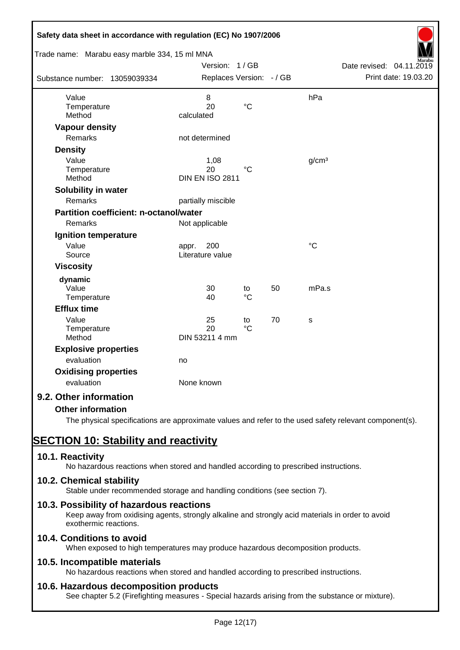| Safety data sheet in accordance with regulation (EC) No 1907/2006<br>Trade name: Marabu easy marble 334, 15 ml MNA |                                  |                       |    |                   |                          |
|--------------------------------------------------------------------------------------------------------------------|----------------------------------|-----------------------|----|-------------------|--------------------------|
|                                                                                                                    | Version: 1/GB                    |                       |    |                   | Date revised: 04.11.2019 |
| Substance number: 13059039334                                                                                      | Replaces Version: - / GB         |                       |    |                   | Print date: 19.03.20     |
| Value                                                                                                              | 8                                |                       |    | hPa               |                          |
| Temperature<br>Method                                                                                              | 20<br>calculated                 | $\rm ^{\circ}C$       |    |                   |                          |
| <b>Vapour density</b>                                                                                              |                                  |                       |    |                   |                          |
| Remarks                                                                                                            | not determined                   |                       |    |                   |                          |
| <b>Density</b>                                                                                                     |                                  |                       |    |                   |                          |
| Value                                                                                                              | 1,08                             |                       |    | g/cm <sup>3</sup> |                          |
| Temperature                                                                                                        | 20                               | $\rm ^{\circ}C$       |    |                   |                          |
| Method                                                                                                             | <b>DIN EN ISO 2811</b>           |                       |    |                   |                          |
| Solubility in water                                                                                                |                                  |                       |    |                   |                          |
| Remarks                                                                                                            | partially miscible               |                       |    |                   |                          |
| Partition coefficient: n-octanol/water                                                                             |                                  |                       |    |                   |                          |
| Remarks                                                                                                            | Not applicable                   |                       |    |                   |                          |
| Ignition temperature                                                                                               |                                  |                       |    |                   |                          |
| Value<br>Source                                                                                                    | 200<br>appr.<br>Literature value |                       |    | $\rm ^{\circ}C$   |                          |
|                                                                                                                    |                                  |                       |    |                   |                          |
| <b>Viscosity</b>                                                                                                   |                                  |                       |    |                   |                          |
| dynamic<br>Value                                                                                                   | 30                               |                       | 50 | mPa.s             |                          |
| Temperature                                                                                                        | 40                               | to<br>$\rm ^{\circ}C$ |    |                   |                          |
| <b>Efflux time</b>                                                                                                 |                                  |                       |    |                   |                          |
| Value                                                                                                              | 25                               | to                    | 70 | s                 |                          |
| Temperature                                                                                                        | 20                               | $\rm ^{\circ}C$       |    |                   |                          |
| Method                                                                                                             | DIN 53211 4 mm                   |                       |    |                   |                          |
| <b>Explosive properties</b>                                                                                        |                                  |                       |    |                   |                          |
| evaluation                                                                                                         | no                               |                       |    |                   |                          |
| <b>Oxidising properties</b>                                                                                        |                                  |                       |    |                   |                          |
| evaluation                                                                                                         | None known                       |                       |    |                   |                          |
| 9.2. Other information                                                                                             |                                  |                       |    |                   |                          |
| <b>Other information</b>                                                                                           |                                  |                       |    |                   |                          |

The physical specifications are approximate values and refer to the used safety relevant component(s).

# **SECTION 10: Stability and reactivity**

# **10.1. Reactivity**

No hazardous reactions when stored and handled according to prescribed instructions.

# **10.2. Chemical stability**

Stable under recommended storage and handling conditions (see section 7).

# **10.3. Possibility of hazardous reactions**

Keep away from oxidising agents, strongly alkaline and strongly acid materials in order to avoid exothermic reactions.

# **10.4. Conditions to avoid**

When exposed to high temperatures may produce hazardous decomposition products.

# **10.5. Incompatible materials**

No hazardous reactions when stored and handled according to prescribed instructions.

# **10.6. Hazardous decomposition products**

See chapter 5.2 (Firefighting measures - Special hazards arising from the substance or mixture).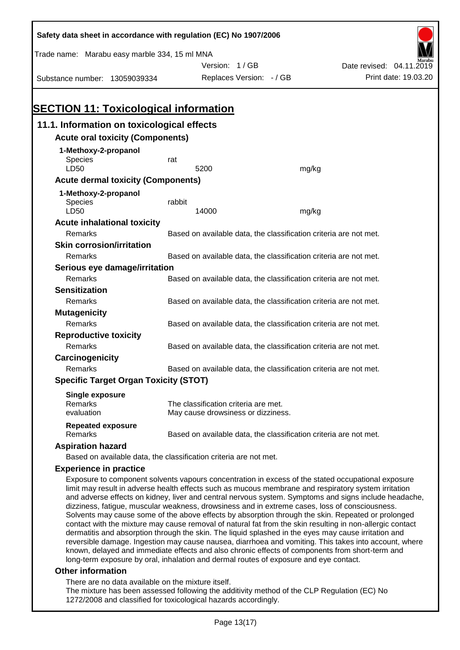| Safety data sheet in accordance with regulation (EC) No 1907/2006                                    |        |                                                                   |       |                                                                                                     |
|------------------------------------------------------------------------------------------------------|--------|-------------------------------------------------------------------|-------|-----------------------------------------------------------------------------------------------------|
| Trade name: Marabu easy marble 334, 15 ml MNA                                                        |        |                                                                   |       |                                                                                                     |
|                                                                                                      |        | Version: 1/GB                                                     |       | Date revised: 04.11.2019                                                                            |
| Substance number: 13059039334                                                                        |        | Replaces Version: - / GB                                          |       | Print date: 19.03.20                                                                                |
|                                                                                                      |        |                                                                   |       |                                                                                                     |
|                                                                                                      |        |                                                                   |       |                                                                                                     |
| <b>SECTION 11: Toxicological information</b>                                                         |        |                                                                   |       |                                                                                                     |
| 11.1. Information on toxicological effects                                                           |        |                                                                   |       |                                                                                                     |
| <b>Acute oral toxicity (Components)</b>                                                              |        |                                                                   |       |                                                                                                     |
| 1-Methoxy-2-propanol                                                                                 |        |                                                                   |       |                                                                                                     |
| <b>Species</b>                                                                                       | rat    |                                                                   |       |                                                                                                     |
| LD50                                                                                                 |        | 5200                                                              | mg/kg |                                                                                                     |
| <b>Acute dermal toxicity (Components)</b>                                                            |        |                                                                   |       |                                                                                                     |
| 1-Methoxy-2-propanol                                                                                 |        |                                                                   |       |                                                                                                     |
| Species                                                                                              | rabbit |                                                                   |       |                                                                                                     |
| LD50                                                                                                 |        | 14000                                                             | mg/kg |                                                                                                     |
| <b>Acute inhalational toxicity</b>                                                                   |        |                                                                   |       |                                                                                                     |
| Remarks                                                                                              |        | Based on available data, the classification criteria are not met. |       |                                                                                                     |
| <b>Skin corrosion/irritation</b>                                                                     |        |                                                                   |       |                                                                                                     |
| Remarks                                                                                              |        | Based on available data, the classification criteria are not met. |       |                                                                                                     |
| Serious eye damage/irritation                                                                        |        |                                                                   |       |                                                                                                     |
| <b>Remarks</b>                                                                                       |        | Based on available data, the classification criteria are not met. |       |                                                                                                     |
| <b>Sensitization</b>                                                                                 |        |                                                                   |       |                                                                                                     |
| Remarks                                                                                              |        | Based on available data, the classification criteria are not met. |       |                                                                                                     |
| <b>Mutagenicity</b>                                                                                  |        |                                                                   |       |                                                                                                     |
| Remarks                                                                                              |        | Based on available data, the classification criteria are not met. |       |                                                                                                     |
| <b>Reproductive toxicity</b>                                                                         |        |                                                                   |       |                                                                                                     |
| Remarks                                                                                              |        | Based on available data, the classification criteria are not met. |       |                                                                                                     |
| Carcinogenicity                                                                                      |        |                                                                   |       |                                                                                                     |
| Remarks                                                                                              |        | Based on available data, the classification criteria are not met. |       |                                                                                                     |
| <b>Specific Target Organ Toxicity (STOT)</b>                                                         |        |                                                                   |       |                                                                                                     |
| <b>Single exposure</b>                                                                               |        |                                                                   |       |                                                                                                     |
| Remarks                                                                                              |        | The classification criteria are met.                              |       |                                                                                                     |
| evaluation                                                                                           |        | May cause drowsiness or dizziness.                                |       |                                                                                                     |
| <b>Repeated exposure</b><br>Remarks                                                                  |        | Based on available data, the classification criteria are not met. |       |                                                                                                     |
| <b>Aspiration hazard</b>                                                                             |        |                                                                   |       |                                                                                                     |
| Based on available data, the classification criteria are not met.                                    |        |                                                                   |       |                                                                                                     |
| <b>Experience in practice</b>                                                                        |        |                                                                   |       |                                                                                                     |
| Exposure to component solvents vapours concentration in excess of the stated occupational exposure   |        |                                                                   |       |                                                                                                     |
| limit may result in adverse health effects such as mucous membrane and respiratory system irritation |        |                                                                   |       | and odverse effects on kidney liver and central pervous system. Symptoms and signs include beedsebe |

and adverse effects on kidney, liver and central nervous system. Symptoms and signs include headache, dizziness, fatigue, muscular weakness, drowsiness and in extreme cases, loss of consciousness. Solvents may cause some of the above effects by absorption through the skin. Repeated or prolonged contact with the mixture may cause removal of natural fat from the skin resulting in non-allergic contact dermatitis and absorption through the skin. The liquid splashed in the eyes may cause irritation and reversible damage. Ingestion may cause nausea, diarrhoea and vomiting. This takes into account, where known, delayed and immediate effects and also chronic effects of components from short-term and long-term exposure by oral, inhalation and dermal routes of exposure and eye contact.

#### **Other information**

There are no data available on the mixture itself.

The mixture has been assessed following the additivity method of the CLP Regulation (EC) No 1272/2008 and classified for toxicological hazards accordingly.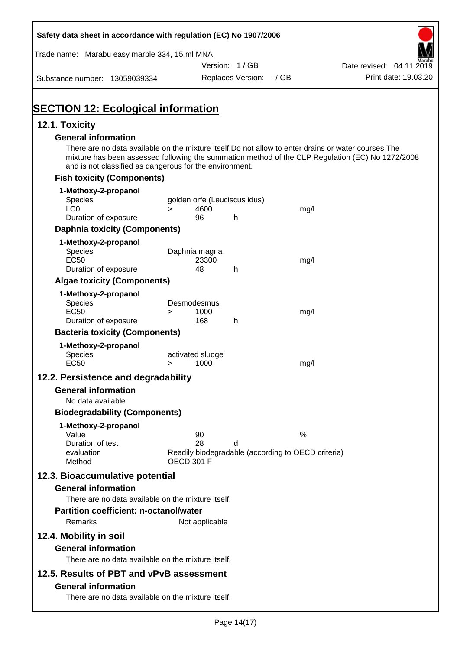| Safety data sheet in accordance with regulation (EC) No 1907/2006                                                                                                                                                                                                    |                   |                     |                                                         |      |                          |                      |
|----------------------------------------------------------------------------------------------------------------------------------------------------------------------------------------------------------------------------------------------------------------------|-------------------|---------------------|---------------------------------------------------------|------|--------------------------|----------------------|
| Trade name: Marabu easy marble 334, 15 ml MNA                                                                                                                                                                                                                        |                   |                     |                                                         |      |                          |                      |
|                                                                                                                                                                                                                                                                      |                   |                     | Version: 1/GB                                           |      | Date revised: 04.11.2019 |                      |
| Substance number: 13059039334                                                                                                                                                                                                                                        |                   |                     | Replaces Version: - / GB                                |      |                          | Print date: 19.03.20 |
| <b>SECTION 12: Ecological information</b>                                                                                                                                                                                                                            |                   |                     |                                                         |      |                          |                      |
| 12.1. Toxicity                                                                                                                                                                                                                                                       |                   |                     |                                                         |      |                          |                      |
| <b>General information</b>                                                                                                                                                                                                                                           |                   |                     |                                                         |      |                          |                      |
| There are no data available on the mixture itself. Do not allow to enter drains or water courses. The<br>mixture has been assessed following the summation method of the CLP Regulation (EC) No 1272/2008<br>and is not classified as dangerous for the environment. |                   |                     |                                                         |      |                          |                      |
| <b>Fish toxicity (Components)</b>                                                                                                                                                                                                                                    |                   |                     |                                                         |      |                          |                      |
| 1-Methoxy-2-propanol                                                                                                                                                                                                                                                 |                   |                     |                                                         |      |                          |                      |
| Species                                                                                                                                                                                                                                                              |                   |                     | golden orfe (Leuciscus idus)                            |      |                          |                      |
| LC <sub>0</sub><br>Duration of exposure                                                                                                                                                                                                                              | $\geq$            | 4600<br>96          | h.                                                      | mg/l |                          |                      |
| <b>Daphnia toxicity (Components)</b>                                                                                                                                                                                                                                 |                   |                     |                                                         |      |                          |                      |
| 1-Methoxy-2-propanol                                                                                                                                                                                                                                                 |                   |                     |                                                         |      |                          |                      |
| Species                                                                                                                                                                                                                                                              |                   | Daphnia magna       |                                                         |      |                          |                      |
| <b>EC50</b>                                                                                                                                                                                                                                                          |                   | 23300               |                                                         | mg/l |                          |                      |
| Duration of exposure                                                                                                                                                                                                                                                 |                   | 48                  | h                                                       |      |                          |                      |
| <b>Algae toxicity (Components)</b>                                                                                                                                                                                                                                   |                   |                     |                                                         |      |                          |                      |
| 1-Methoxy-2-propanol                                                                                                                                                                                                                                                 |                   |                     |                                                         |      |                          |                      |
| Species<br><b>EC50</b>                                                                                                                                                                                                                                               |                   | Desmodesmus<br>1000 |                                                         |      |                          |                      |
| Duration of exposure                                                                                                                                                                                                                                                 | $\geq$            | 168                 | h                                                       | mg/l |                          |                      |
| <b>Bacteria toxicity (Components)</b>                                                                                                                                                                                                                                |                   |                     |                                                         |      |                          |                      |
| 1-Methoxy-2-propanol                                                                                                                                                                                                                                                 |                   |                     |                                                         |      |                          |                      |
| Species                                                                                                                                                                                                                                                              |                   | activated sludge    |                                                         |      |                          |                      |
| <b>EC50</b>                                                                                                                                                                                                                                                          | $\geq$            | 1000                |                                                         | mg/l |                          |                      |
| 12.2. Persistence and degradability                                                                                                                                                                                                                                  |                   |                     |                                                         |      |                          |                      |
| <b>General information</b>                                                                                                                                                                                                                                           |                   |                     |                                                         |      |                          |                      |
| No data available                                                                                                                                                                                                                                                    |                   |                     |                                                         |      |                          |                      |
| <b>Biodegradability (Components)</b>                                                                                                                                                                                                                                 |                   |                     |                                                         |      |                          |                      |
| 1-Methoxy-2-propanol                                                                                                                                                                                                                                                 |                   |                     |                                                         |      |                          |                      |
| Value                                                                                                                                                                                                                                                                |                   | 90                  |                                                         | %    |                          |                      |
| Duration of test<br>evaluation                                                                                                                                                                                                                                       |                   | 28                  | d<br>Readily biodegradable (according to OECD criteria) |      |                          |                      |
| Method                                                                                                                                                                                                                                                               | <b>OECD 301 F</b> |                     |                                                         |      |                          |                      |
| 12.3. Bioaccumulative potential                                                                                                                                                                                                                                      |                   |                     |                                                         |      |                          |                      |
| <b>General information</b>                                                                                                                                                                                                                                           |                   |                     |                                                         |      |                          |                      |
| There are no data available on the mixture itself.                                                                                                                                                                                                                   |                   |                     |                                                         |      |                          |                      |
| <b>Partition coefficient: n-octanol/water</b>                                                                                                                                                                                                                        |                   |                     |                                                         |      |                          |                      |
| Remarks                                                                                                                                                                                                                                                              |                   | Not applicable      |                                                         |      |                          |                      |
| 12.4. Mobility in soil                                                                                                                                                                                                                                               |                   |                     |                                                         |      |                          |                      |
| <b>General information</b>                                                                                                                                                                                                                                           |                   |                     |                                                         |      |                          |                      |
| There are no data available on the mixture itself.                                                                                                                                                                                                                   |                   |                     |                                                         |      |                          |                      |
| 12.5. Results of PBT and vPvB assessment                                                                                                                                                                                                                             |                   |                     |                                                         |      |                          |                      |
|                                                                                                                                                                                                                                                                      |                   |                     |                                                         |      |                          |                      |
| <b>General information</b><br>There are no data available on the mixture itself.                                                                                                                                                                                     |                   |                     |                                                         |      |                          |                      |
|                                                                                                                                                                                                                                                                      |                   |                     |                                                         |      |                          |                      |

Ī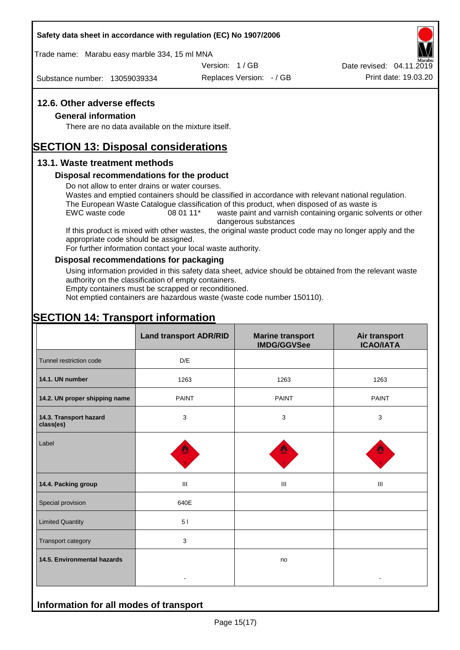#### **Safety data sheet in accordance with regulation (EC) No 1907/2006**

Trade name: Marabu easy marble 334, 15 ml MNA

Substance number: 13059039334

Version: 1 / GB

Replaces Version: - / GB Print date: 19.03.20 Date revised: 04.11.2019

### **12.6. Other adverse effects**

#### **General information**

There are no data available on the mixture itself.

# **SECTION 13: Disposal considerations**

### **13.1. Waste treatment methods**

#### **Disposal recommendations for the product**

Do not allow to enter drains or water courses.

Wastes and emptied containers should be classified in accordance with relevant national regulation. The European Waste Catalogue classification of this product, when disposed of as waste is

EWC waste code 08 01 11<sup>\*</sup> waste paint and varnish containing organic solvents or other dangerous substances

If this product is mixed with other wastes, the original waste product code may no longer apply and the appropriate code should be assigned.

For further information contact your local waste authority.

#### **Disposal recommendations for packaging**

Using information provided in this safety data sheet, advice should be obtained from the relevant waste authority on the classification of empty containers.

Empty containers must be scrapped or reconditioned.

Not emptied containers are hazardous waste (waste code number 150110).

# **SECTION 14: Transport information**

|                                     | <b>Land transport ADR/RID</b> | <b>Marine transport</b><br><b>IMDG/GGVSee</b> | Air transport<br><b>ICAO/IATA</b> |  |
|-------------------------------------|-------------------------------|-----------------------------------------------|-----------------------------------|--|
| Tunnel restriction code             | D/E                           |                                               |                                   |  |
| 14.1. UN number                     | 1263                          | 1263                                          | 1263                              |  |
| 14.2. UN proper shipping name       | <b>PAINT</b>                  | <b>PAINT</b>                                  | <b>PAINT</b>                      |  |
| 14.3. Transport hazard<br>class(es) | 3                             | 3                                             | 3                                 |  |
| Label                               |                               |                                               |                                   |  |
| 14.4. Packing group                 | Ш                             | Ш                                             | Ш                                 |  |
| Special provision                   | 640E                          |                                               |                                   |  |
| <b>Limited Quantity</b>             | 51                            |                                               |                                   |  |
| Transport category                  | 3                             |                                               |                                   |  |
| 14.5. Environmental hazards         |                               | no                                            |                                   |  |
|                                     |                               |                                               |                                   |  |

**Information for all modes of transport**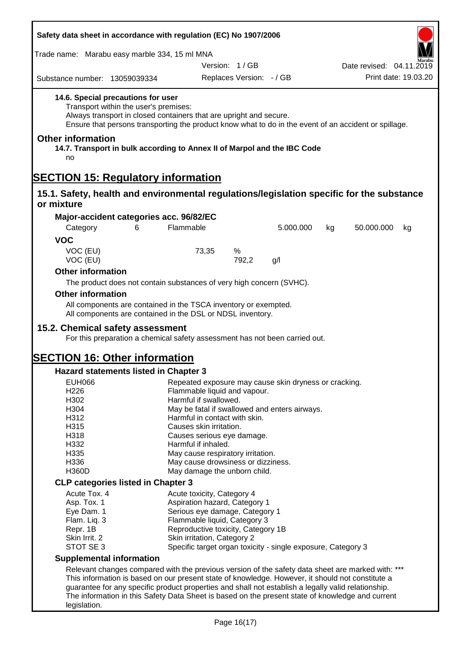| Safety data sheet in accordance with regulation (EC) No 1907/2006<br>Trade name: Marabu easy marble 334, 15 ml MNA                                |                                                                                                                                                                                                       |                                               |                          |                                                              |    |                                                                                                       |    |
|---------------------------------------------------------------------------------------------------------------------------------------------------|-------------------------------------------------------------------------------------------------------------------------------------------------------------------------------------------------------|-----------------------------------------------|--------------------------|--------------------------------------------------------------|----|-------------------------------------------------------------------------------------------------------|----|
|                                                                                                                                                   |                                                                                                                                                                                                       |                                               |                          |                                                              |    |                                                                                                       |    |
| Substance number: 13059039334                                                                                                                     |                                                                                                                                                                                                       |                                               | Replaces Version: - / GB |                                                              |    | Print date: 19.03.20                                                                                  |    |
| 14.6. Special precautions for user<br>Transport within the user's premises:<br>Always transport in closed containers that are upright and secure. |                                                                                                                                                                                                       |                                               |                          |                                                              |    | Ensure that persons transporting the product know what to do in the event of an accident or spillage. |    |
| <b>Other information</b><br>14.7. Transport in bulk according to Annex II of Marpol and the IBC Code<br>no                                        |                                                                                                                                                                                                       |                                               |                          |                                                              |    |                                                                                                       |    |
| <b>SECTION 15: Regulatory information</b>                                                                                                         |                                                                                                                                                                                                       |                                               |                          |                                                              |    |                                                                                                       |    |
| 15.1. Safety, health and environmental regulations/legislation specific for the substance<br>or mixture                                           |                                                                                                                                                                                                       |                                               |                          |                                                              |    |                                                                                                       |    |
|                                                                                                                                                   |                                                                                                                                                                                                       |                                               |                          |                                                              |    |                                                                                                       |    |
| Major-accident categories acc. 96/82/EC<br>Category                                                                                               | 6                                                                                                                                                                                                     | Flammable                                     |                          | 5.000.000                                                    | kg | 50.000.000                                                                                            | kg |
| <b>VOC</b>                                                                                                                                        |                                                                                                                                                                                                       |                                               |                          |                                                              |    |                                                                                                       |    |
| VOC (EU)<br>VOC (EU)                                                                                                                              |                                                                                                                                                                                                       | 73,35                                         | %<br>792,2               | g/l                                                          |    |                                                                                                       |    |
| <b>Other information</b>                                                                                                                          |                                                                                                                                                                                                       |                                               |                          |                                                              |    |                                                                                                       |    |
| The product does not contain substances of very high concern (SVHC).                                                                              |                                                                                                                                                                                                       |                                               |                          |                                                              |    |                                                                                                       |    |
| <b>Other information</b>                                                                                                                          |                                                                                                                                                                                                       |                                               |                          |                                                              |    |                                                                                                       |    |
| All components are contained in the TSCA inventory or exempted.                                                                                   |                                                                                                                                                                                                       |                                               |                          |                                                              |    |                                                                                                       |    |
| All components are contained in the DSL or NDSL inventory.                                                                                        |                                                                                                                                                                                                       |                                               |                          |                                                              |    |                                                                                                       |    |
| 15.2. Chemical safety assessment                                                                                                                  |                                                                                                                                                                                                       |                                               |                          |                                                              |    |                                                                                                       |    |
| For this preparation a chemical safety assessment has not been carried out.                                                                       |                                                                                                                                                                                                       |                                               |                          |                                                              |    |                                                                                                       |    |
|                                                                                                                                                   |                                                                                                                                                                                                       |                                               |                          |                                                              |    |                                                                                                       |    |
| <b>SECTION 16: Other information</b><br><b>Hazard statements listed in Chapter 3</b>                                                              |                                                                                                                                                                                                       |                                               |                          |                                                              |    |                                                                                                       |    |
| <b>EUH066</b>                                                                                                                                     |                                                                                                                                                                                                       |                                               |                          | Repeated exposure may cause skin dryness or cracking.        |    |                                                                                                       |    |
| H226                                                                                                                                              |                                                                                                                                                                                                       | Flammable liquid and vapour.                  |                          |                                                              |    |                                                                                                       |    |
| H302                                                                                                                                              |                                                                                                                                                                                                       | Harmful if swallowed.                         |                          |                                                              |    |                                                                                                       |    |
| H304                                                                                                                                              |                                                                                                                                                                                                       | May be fatal if swallowed and enters airways. |                          |                                                              |    |                                                                                                       |    |
| H312                                                                                                                                              |                                                                                                                                                                                                       | Harmful in contact with skin.                 |                          |                                                              |    |                                                                                                       |    |
| H315                                                                                                                                              |                                                                                                                                                                                                       | Causes skin irritation.                       |                          |                                                              |    |                                                                                                       |    |
| H318                                                                                                                                              |                                                                                                                                                                                                       | Causes serious eye damage.                    |                          |                                                              |    |                                                                                                       |    |
| H332                                                                                                                                              |                                                                                                                                                                                                       | Harmful if inhaled.                           |                          |                                                              |    |                                                                                                       |    |
| H335                                                                                                                                              |                                                                                                                                                                                                       | May cause respiratory irritation.             |                          |                                                              |    |                                                                                                       |    |
| H336                                                                                                                                              |                                                                                                                                                                                                       | May cause drowsiness or dizziness.            |                          |                                                              |    |                                                                                                       |    |
| <b>H360D</b>                                                                                                                                      |                                                                                                                                                                                                       | May damage the unborn child.                  |                          |                                                              |    |                                                                                                       |    |
| <b>CLP categories listed in Chapter 3</b>                                                                                                         |                                                                                                                                                                                                       |                                               |                          |                                                              |    |                                                                                                       |    |
| Acute Tox. 4                                                                                                                                      |                                                                                                                                                                                                       | Acute toxicity, Category 4                    |                          |                                                              |    |                                                                                                       |    |
| Asp. Tox. 1                                                                                                                                       |                                                                                                                                                                                                       | Aspiration hazard, Category 1                 |                          |                                                              |    |                                                                                                       |    |
| Eye Dam. 1                                                                                                                                        |                                                                                                                                                                                                       | Serious eye damage, Category 1                |                          |                                                              |    |                                                                                                       |    |
| Flam. Liq. 3                                                                                                                                      |                                                                                                                                                                                                       | Flammable liquid, Category 3                  |                          |                                                              |    |                                                                                                       |    |
| Repr. 1B                                                                                                                                          |                                                                                                                                                                                                       | Reproductive toxicity, Category 1B            |                          |                                                              |    |                                                                                                       |    |
| Skin Irrit. 2                                                                                                                                     |                                                                                                                                                                                                       | Skin irritation, Category 2                   |                          |                                                              |    |                                                                                                       |    |
| STOT SE 3                                                                                                                                         |                                                                                                                                                                                                       |                                               |                          | Specific target organ toxicity - single exposure, Category 3 |    |                                                                                                       |    |
| <b>Supplemental information</b>                                                                                                                   |                                                                                                                                                                                                       |                                               |                          |                                                              |    |                                                                                                       |    |
|                                                                                                                                                   |                                                                                                                                                                                                       |                                               |                          |                                                              |    |                                                                                                       |    |
|                                                                                                                                                   | Relevant changes compared with the previous version of the safety data sheet are marked with: ***<br>This information is based on our present state of knowledge. However, it should not constitute a |                                               |                          |                                                              |    |                                                                                                       |    |
| guarantee for any specific product properties and shall not establish a legally valid relationship.                                               |                                                                                                                                                                                                       |                                               |                          |                                                              |    |                                                                                                       |    |
| The information in this Safety Data Sheet is based on the present state of knowledge and current                                                  |                                                                                                                                                                                                       |                                               |                          |                                                              |    |                                                                                                       |    |
| legislation.                                                                                                                                      |                                                                                                                                                                                                       |                                               |                          |                                                              |    |                                                                                                       |    |